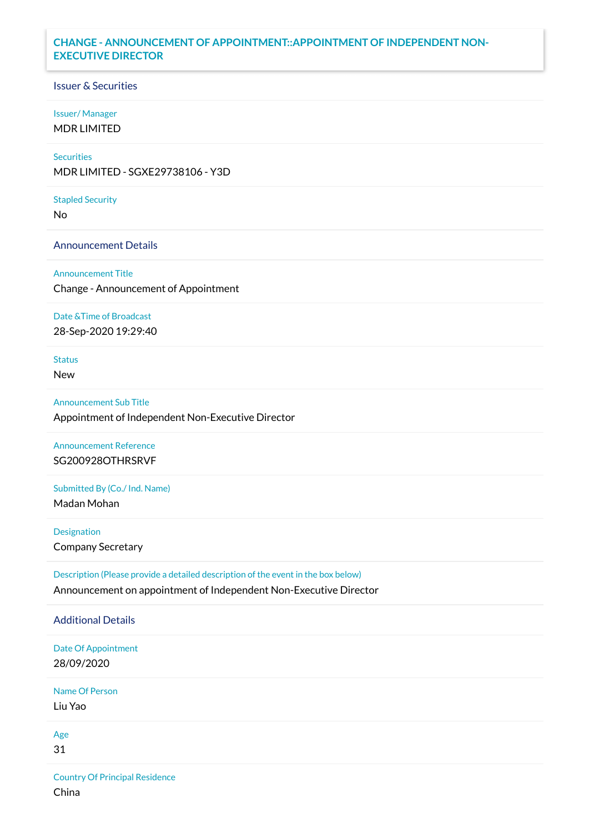# **CHANGE - ANNOUNCEMENT OF APPOINTMENT::APPOINTMENT OF INDEPENDENT NON-EXECUTIVE DIRECTOR**

## Issuer & Securities

### Issuer/ Manager

MDR LIMITED

# **Securities**

MDR LIMITED - SGXE29738106 - Y3D

#### Stapled Security

No

## Announcement Details

Announcement Title

Change - Announcement of Appointment

### Date &Time of Broadcast

28-Sep-2020 19:29:40

## Status

New

## Announcement Sub Title

Appointment of Independent Non-Executive Director

# Announcement Reference SG200928OTHRSRVF

## Submitted By (Co./ Ind. Name)

Madan Mohan

# **Designation**

Company Secretary

# Description (Please provide a detailed description of the event in the box below) Announcement on appointment of Independent Non-Executive Director

# Additional Details Date Of Appointment 28/09/2020 Name Of Person Liu Yao Age 31 Country Of Principal Residence

China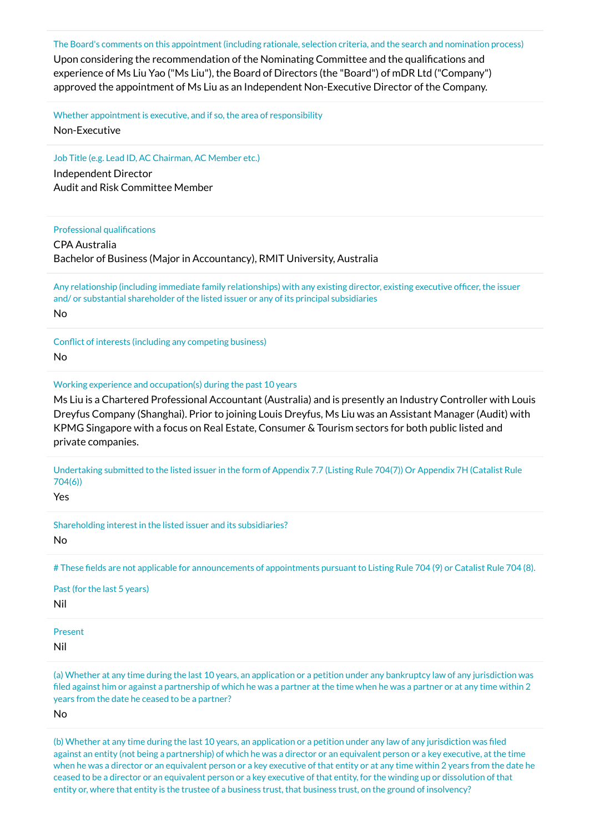The Board's comments on this appointment (including rationale, selection criteria, and the search and nomination process)

Upon considering the recommendation of the Nominating Committee and the qualifications and experience of Ms Liu Yao ("Ms Liu"), the Board of Directors (the "Board") of mDR Ltd ("Company") approved the appointment of Ms Liu as an Independent Non-Executive Director of the Company.

Whether appointment is executive, and if so, the area of responsibility

Non-Executive

Job Title (e.g. Lead ID, AC Chairman, AC Member etc.)

Independent Director Audit and Risk Committee Member

#### Professional qualifications

CPA Australia Bachelor of Business (Major in Accountancy), RMIT University, Australia

Any relationship (including immediate family relationships) with any existing director, existing executive officer, the issuer and/ or substantial shareholder of the listed issuer or any of its principal subsidiaries No

Conflict of interests (including any competing business) No

Working experience and occupation(s) during the past 10 years

Ms Liu is a Chartered Professional Accountant (Australia) and is presently an Industry Controller with Louis Dreyfus Company (Shanghai). Prior to joining Louis Dreyfus, Ms Liu was an Assistant Manager (Audit) with KPMG Singapore with a focus on Real Estate, Consumer & Tourism sectors for both public listed and private companies.

Undertaking submitted to the listed issuer in the form of Appendix 7.7 (Listing Rule 704(7)) Or Appendix 7H (Catalist Rule 704(6))

Yes

Shareholding interest in the listed issuer and its subsidiaries? No

# These fields are not applicable for announcements of appointments pursuant to Listing Rule 704 (9) or Catalist Rule 704 (8).

Past (for the last 5 years)

Nil

Present

Nil

(a) Whether at any time during the last 10 years, an application or a petition under any bankruptcy law of any jurisdiction was filed against him or against a partnership of which he was a partner at the time when he was a partner or at any time within 2 years from the date he ceased to be a partner?

No

(b) Whether at any time during the last 10 years, an application or a petition under any law of any jurisdiction was filed against an entity (not being a partnership) of which he was a director or an equivalent person or a key executive, at the time when he was a director or an equivalent person or a key executive of that entity or at any time within 2 years from the date he ceased to be a director or an equivalent person or a key executive of that entity, for the winding up or dissolution of that entity or, where that entity is the trustee of a business trust, that business trust, on the ground of insolvency?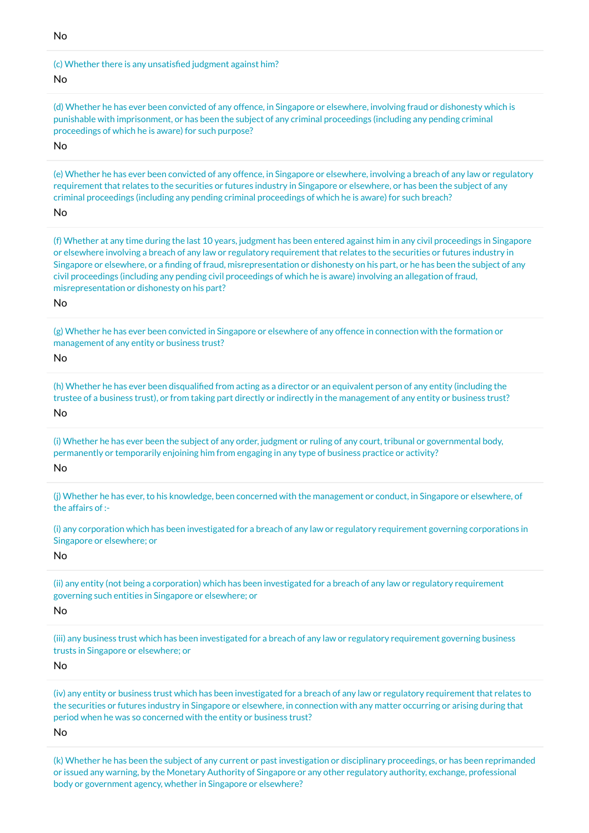No

#### (c) Whether there is any unsatisfied judgment against him?

#### No

(d) Whether he has ever been convicted of any offence, in Singapore or elsewhere, involving fraud or dishonesty which is punishable with imprisonment, or has been the subject of any criminal proceedings (including any pending criminal proceedings of which he is aware) for such purpose?

## No

(e) Whether he has ever been convicted of any offence, in Singapore or elsewhere, involving a breach of any law or regulatory requirement that relates to the securities or futures industry in Singapore or elsewhere, or has been the subject of any criminal proceedings (including any pending criminal proceedings of which he is aware) for such breach?

#### No

(f) Whether at any time during the last 10 years, judgment has been entered against him in any civil proceedings in Singapore or elsewhere involving a breach of any law or regulatory requirement that relates to the securities or futures industry in Singapore or elsewhere, or a finding of fraud, misrepresentation or dishonesty on his part, or he has been the subject of any civil proceedings (including any pending civil proceedings of which he is aware) involving an allegation of fraud, misrepresentation or dishonesty on his part?

#### No

(g) Whether he has ever been convicted in Singapore or elsewhere of any offence in connection with the formation or management of any entity or business trust?

#### No

(h) Whether he has ever been disqualified from acting as a director or an equivalent person of any entity (including the trustee of a business trust), or from taking part directly or indirectly in the management of any entity or business trust? No

(i) Whether he has ever been the subject of any order, judgment or ruling of any court, tribunal or governmental body, permanently or temporarily enjoining him from engaging in any type of business practice or activity?

#### No

(j) Whether he has ever, to his knowledge, been concerned with the management or conduct, in Singapore or elsewhere, of the affairs of :-

(i) any corporation which has been investigated for a breach of any law or regulatory requirement governing corporations in Singapore or elsewhere; or

### No

(ii) any entity (not being a corporation) which has been investigated for a breach of any law or regulatory requirement governing such entities in Singapore or elsewhere; or

## No

(iii) any business trust which has been investigated for a breach of any law or regulatory requirement governing business trusts in Singapore or elsewhere; or

#### No

(iv) any entity or business trust which has been investigated for a breach of any law or regulatory requirement that relates to the securities or futures industry in Singapore or elsewhere, in connection with any matter occurring or arising during that period when he was so concerned with the entity or business trust?

#### No

(k) Whether he has been the subject of any current or past investigation or disciplinary proceedings, or has been reprimanded or issued any warning, by the Monetary Authority of Singapore or any other regulatory authority, exchange, professional body or government agency, whether in Singapore or elsewhere?